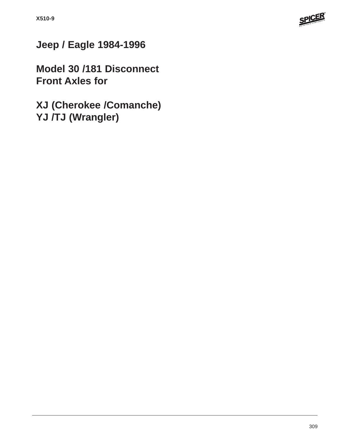

# **Jeep / Eagle 1984-1996**

**Model 30 /181 Disconnect Front Axles for**

**XJ (Cherokee /Comanche) YJ /TJ (Wrangler)**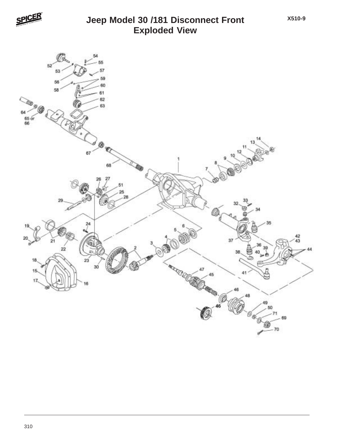

#### **Jeep Model 30 /181 Disconnect Front Exploded View**

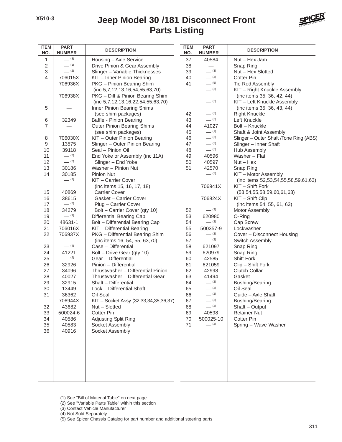## **Parts Listing Jeep Model 30 /181 Disconnect Front**



| <b>ITEM</b><br>NO. | <b>PART</b><br><b>NUMBER</b> | <b>DESCRIPTION</b>                    | <b>ITEM</b><br>NO. | <b>PART</b><br><b>NUMBER</b> | <b>DESCRIPTION</b>                     |
|--------------------|------------------------------|---------------------------------------|--------------------|------------------------------|----------------------------------------|
| 1                  | $- (3)$                      | Housing - Axle Service                | 37                 | 40584                        | Nut - Hex Jam                          |
| $\overline{c}$     | $- (1)$                      | Drive Pinion & Gear Assembly          | 38                 |                              | Snap Ring                              |
| $\,$ 3 $\,$        | $-$ (2)                      | Slinger - Variable Thicknesses        | 39                 | (3)                          | Nut - Hex Slotted                      |
| $\overline{4}$     | 706015X                      | KIT - Inner Pinion Bearing            | 40                 | $- (3)$                      | <b>Cotter Pin</b>                      |
|                    | 706936X                      | PKG - Pinion Bearing Shim             | 41                 | $- (5)$                      | Tie Rod Assembly                       |
|                    |                              | (inc 5,7,12,13,16,54,55,63,70)        |                    | $- (2)$                      | KIT - Right Knuckle Assembly           |
|                    | 706938X                      | PKG - Diff & Pinion Bearing Shim      |                    |                              | (inc items 35, 36, 42, 44)             |
|                    |                              | (inc 5,7,12,13,16,22,54,55,63,70)     |                    | $- (2)$                      | KIT - Left Knuckle Assembly            |
| 5                  |                              | Inner Pinion Bearing Shims            |                    |                              | (inc items 35, 36, 43, 44)             |
|                    |                              | (see shim packages)                   | 42                 | $- (2)$                      | <b>Right Knuckle</b>                   |
| 6                  | 32349                        | Baffle - Pinion Bearing               | 43                 | $- (2)$                      | Left Knuckle                           |
| $\overline{7}$     |                              | <b>Outer Pinion Bearing Shims</b>     | 44                 | 41027                        | Bolt - Knuckle                         |
|                    |                              | (see shim packages)                   | 45                 | $- (1)$                      | Shaft & Joint Assembly                 |
| 8                  | 706030X                      | KIT - Outer Pinion Bearing            | 46                 | $- (2)$                      | Slinger - Outer Shaft /Tone Ring (ABS) |
| 9                  | 13575                        | Slinger - Outer Pinion Bearing        | 47                 | $- (2)$                      | Slinger - Inner Shaft                  |
| 10                 | 39118                        | Seal - Pinion Oil                     | 48                 | $- (2)$                      | Hub Assembly                           |
| 11                 | $- (2)$                      | End Yoke or Assembly (inc 11A)        | 49                 | 40596                        | Washer - Flat                          |
| 12                 | $- (2)$                      | Slinger - End Yoke                    | 50                 | 40597                        | $Nut - Hex$                            |
| 13                 | 30186                        | Washer - Pinion Nut                   | 51                 | 42570                        | Snap Ring                              |
| 14                 | 30185                        | <b>Pinion Nut</b>                     |                    | $- (2)$                      | KIT - Motor Assembly                   |
|                    | $- (2)$                      | KIT - Carrier Cover                   |                    |                              | (inc items 52,53,54,55,58,59,61,63)    |
|                    |                              | (inc items 15, 16, 17, 18)            |                    | 706941X                      | KIT - Shift Fork                       |
| 15                 | 40869                        | <b>Carrier Cover</b>                  |                    |                              | (53,54,55,58,59,60,61,63)              |
| 16                 | 38615                        | Gasket - Carrier Cover                |                    | 706824X                      | KIT - Shift Clip                       |
| 17                 | $- (2)$                      | Plug - Carrier Cover                  |                    |                              | (inc items 54, 55, 61, 63)             |
| 18                 | 34279                        | Bolt - Carrier Cover (qty 10)         | 52                 | $- (2)$                      | Motor Assembly                         |
| 19                 | $- (3)$                      | <b>Differential Bearing Cap</b>       | 53                 | 620980                       | O-Ring                                 |
| 20                 | 48631-1                      | Bolt - Differential Bearing Cap       | 54                 | $- (2)$                      | Cap Screw                              |
| 21                 | 706016X                      | KIT - Differential Bearing            | 55                 | 500357-9                     | Lockwasher                             |
| 22                 | 706937X                      | PKG - Differential Bearing Shim       | 56                 | $- (2)$                      | Cover - Disconnect Housing             |
|                    |                              | (inc items 16, 54, 55, 63,70)         | 57                 | $- (2)$                      | Switch Assembly                        |
| 23                 | $- (4)$                      | Case - Differential                   | 58                 | 621097                       | Snap Ring                              |
| 24                 | 41221                        | Bolt - Drive Gear (qty 10)            | 59                 | 620979                       | Snap Ring                              |
| 25                 | $- (2)$                      | Gear - Differential                   | 60                 | 42585                        | Shift Fork                             |
| 26                 | 32926                        | Pinion - Differential                 | 61                 | 621059                       | Clip - Shift Fork                      |
| 27                 | 34096                        | Thrustwasher - Differential Pinion    | 62                 | 42998                        | Clutch Collar                          |
| 28                 | 40027                        | Thrustwasher - Differential Gear      | 63                 | 41494                        | Gasket                                 |
| 29                 | 32915                        | Shaft - Differential                  | 64                 | $- (2)$                      | <b>Bushing/Bearing</b>                 |
| 30                 | 13449                        | Lock - Differential Shaft             | 65                 | $- (2)$                      | Oil Seal                               |
| 31                 | 36362                        | Oil Seal                              | 66                 | $- (2)$                      | Guide - Axle Shaft                     |
|                    | 706944X                      | KIT - Socket Assy (32,33,34,35,36,37) | 67                 | $- (2)$                      | Bushing/Bearing                        |
| 32                 | 43682                        | Nut - Slotted                         | 68                 | $- (2)$                      | Shaft - Output                         |
| 33                 | 500024-6                     | Cotter Pin                            | 69                 | 40598                        | <b>Retainer Nut</b>                    |
| 34                 | 40586                        | Adjusting Split Ring                  | 70                 | 500025-10                    | <b>Cotter Pin</b>                      |
| 35                 | 40583                        | Socket Assembly                       | 71                 | $- (2)$                      | Spring - Wave Washer                   |
| 36                 | 40916                        | Socket Assembly                       |                    |                              |                                        |
|                    |                              |                                       |                    |                              |                                        |

(1) See "Bill of Material Table" on next page

- (2) See "Variable Parts Table" within this section
- (3) Contact Vehicle Manufacturer

(4) Not Sold Separately

(5) See Spicer Chassis Catalog for part number and additional steering parts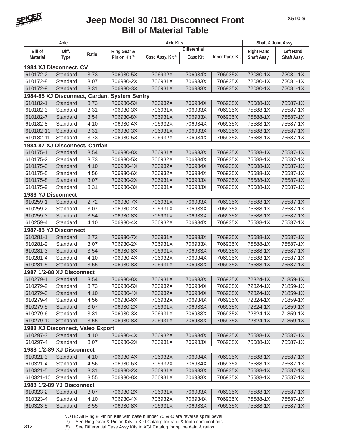

### **Bill of Material Table Jeep Model 30 /181 Disconnect Front**

| Axle                             |             |       | <b>Axle Kits</b>                             |                               |                     |                        | Shaft & Joint Assy. |                  |
|----------------------------------|-------------|-------|----------------------------------------------|-------------------------------|---------------------|------------------------|---------------------|------------------|
| <b>Bill of</b>                   | Diff.       |       | Ring Gear &                                  |                               | <b>Differential</b> |                        | <b>Right Hand</b>   | <b>Left Hand</b> |
| <b>Material</b>                  | <b>Type</b> | Ratio | Pinion Kit <sup>(7)</sup>                    | Case Assy. Kit <sup>(8)</sup> | <b>Case Kit</b>     | <b>Inner Parts Kit</b> | Shaft Assy.         | Shaft Assy.      |
| 1984 XJ Disconnect, CV           |             |       |                                              |                               |                     |                        |                     |                  |
| 610172-2                         | Standard    | 3.73  | 706930-5X                                    | 706932X                       | 706934X             | 706935X                | 72080-1X            | 72081-1X         |
| 610172-8                         | Standard    | 3.07  | 706930-2X                                    | 706931X                       | 706933X             | 706935X                | 72080-1X            | 72081-1X         |
| 610172-9                         | Standard    | 3.31  | 706930-3X                                    | 706931X                       | 706933X             | 706935X                | 72080-1X            | 72081-1X         |
|                                  |             |       | 1984-85 XJ Disconnect, Cardan, System Sentry |                               |                     |                        |                     |                  |
| 610182-1                         | Standard    | 3.73  | 706930-5X                                    | 706932X                       | 706934X             | 706935X                | 75588-1X            | 75587-1X         |
| 610182-3                         | Standard    | 3.31  | 706930-3X                                    | 706931X                       | 706933X             | 706935X                | 75588-1X            | 75587-1X         |
| 610182-7                         | Standard    | 3.54  | 706930-8X                                    | 706931X                       | 706933X             | 706935X                | 75588-1X            | 75587-1X         |
| 610182-8                         | Standard    | 4.10  | 706930-4X                                    | 706932X                       | 706934X             | 706935X                | 75588-1X            | 75587-1X         |
| 610182-10                        | Standard    | 3.31  | 706930-3X                                    | 706931X                       | 706933X             | 706935X                | 75588-1X            | 75587-1X         |
| 610182-11                        | Standard    | 3.73  | 706930-5X                                    | 706932X                       | 706934X             | 706935X                | 75588-1X            | 75587-1X         |
| 1984-87 XJ Disconnect, Cardan    |             |       |                                              |                               |                     |                        |                     |                  |
| 610175-1                         | Standard    | 3.54  | 706930-8X                                    | 706931X                       | 706933X             | 706935X                | 75588-1X            | 75587-1X         |
| 610175-2                         | Standard    | 3.73  | 706930-5X                                    | 706932X                       | 706934X             | 706935X                | 75588-1X            | 75587-1X         |
| 610175-3                         | Standard    | 4.10  | 706930-4X                                    | 706932X                       | 706934X             | 706935X                | 75588-1X            | 75587-1X         |
| 610175-5                         | Standard    | 4.56  | 706930-6X                                    | 706932X                       | 706934X             | 706935X                | 75588-1X            | 75587-1X         |
| 610175-8                         | Standard    | 3.07  | 706930-2X                                    | 706931X                       | 706933X             | 706935X                | 75588-1X            | 75587-1X         |
| 610175-9                         | Standard    | 3.31  | 706930-3X                                    | 706931X                       | 706933X             | 706935X                | 75588-1X            | 75587-1X         |
| <b>1986 YJ Disconnect</b>        |             |       |                                              |                               |                     |                        |                     |                  |
| 610259-1                         | Standard    | 2.72  | 706930-7X                                    | 706931X                       | 706933X             | 706935X                | 75588-1X            | 75587-1X         |
| 610259-2                         | Standard    | 3.07  | 706930-2X                                    | 706931X                       | 706933X             | 706935X                | 75588-1X            | 75587-1X         |
| 610259-3                         | Standard    | 3.54  | 706930-8X                                    | 706931X                       | 706933X             | 706935X                | 75588-1X            | 75587-1X         |
| 610259-4                         | Standard    | 4.10  | 706930-4X                                    | 706932X                       | 706934X             | 706935X                | 75588-1X            | 75587-1X         |
| 1987-88 YJ Disconnect            |             |       |                                              |                               |                     |                        |                     |                  |
| 610281-1                         | Standard    | 2.72  | 706930-7X                                    | 706931X                       | 706933X             | 706935X                | 75588-1X            | 75587-1X         |
| 610281-2                         | Standard    | 3.07  | 706930-2X                                    | 706931X                       | 706933X             | 706935X                | 75588-1X            | 75587-1X         |
| 610281-3                         | Standard    | 3.54  | 706930-8X                                    | 706931X                       | 706933X             | 706935X                | 75588-1X            | 75587-1X         |
| 610281-4                         | Standard    | 4.10  | 706930-4X                                    | 706932X                       | 706934X             | 706935X                | 75588-1X            | 75587-1X         |
| 610281-5                         | Standard    | 3.55  | 706930-8X                                    | 706931X                       | 706933X             | 706935X                | 75588-1X            | 75587-1X         |
| 1987 1/2-88 XJ Disconnect        |             |       |                                              |                               |                     |                        |                     |                  |
| 610279-1                         | Standard    | 3.54  | 706930-8X                                    | 706931X                       | 706933X             | 706935X                | 72324-1X            | 71859-1X         |
| 610279-2                         | Standard    | 3.73  | 706930-5X                                    | 706932X                       | 706934X             | 706935X                | 72324-1X            | 71859-1X         |
| 610279-3                         | Standard    | 4.10  | 706930-4X                                    | 706932X                       | 706934X             | 706935X                | 72324-1X            | 71859-1X         |
| 610279-4                         | Standard    | 4.56  | 706930-6X                                    | 706932X                       | 706934X             | 706935X                | 72324-1X            | 71859-1X         |
| 610279-5                         | Standard    | 3.07  | 706930-2X                                    | 706931X                       | 706933X             | 706935X                | 72324-1X            | 71859-1X         |
| 610279-6                         | Standard    | 3.31  | 706930-3X                                    | 706931X                       | 706933X             | 706935X                | 72324-1X            | 71859-1X         |
| 610279-10                        | Standard    | 3.55  | 706930-8X                                    | 706931X                       | 706933X             | 706935X                | 72324-1X            | 71859-1X         |
| 1988 XJ Disconnect, Valeo Export |             |       |                                              |                               |                     |                        |                     |                  |
| 610297-3                         | Standard    | 4.10  | 706930-4X                                    | 706932X                       | 706934X             | 706935X                | 75588-1X            | 75587-1X         |
| 610297-4                         | Standard    | 3.07  | 706930-2X                                    | 706931X                       | 706933X             | 706935X                | 75588-1X            | 75587-1X         |
| 1988 1/2-89 XJ Disconnect        |             |       |                                              |                               |                     |                        |                     |                  |
| 610321-3                         | Standard    | 4.10  | 706930-4X                                    | 706932X                       | 706934X             | 706935X                | 75588-1X            | 75587-1X         |
| 610321-4                         | Standard    | 4.56  | 706930-6X                                    | 706932X                       | 706934X             | 706935X                | 75588-1X            | 75587-1X         |
| 610321-5                         | Standard    | 3.31  | 706930-2X                                    | 706931X                       | 706933X             | 706935X                | 75588-1X            | 75587-1X         |
| 610321-10                        | Standard    | 3.55  | 706930-8X                                    | 706931X                       | 706933X             | 706935X                | 75588-1X            | 75587-1X         |
| 1988 1/2-89 YJ Disconnect        |             |       |                                              |                               |                     |                        |                     |                  |
| 610323-2                         | Standard    | 3.07  | 706930-2X                                    | 706931X                       | 706933X             | 706935X                | 75588-1X            | 75587-1X         |
| 610323-4                         | Standard    | 4.10  | 706930-4X                                    | 706932X                       | 706934X             | 706935X                | 75588-1X            | 75587-1X         |
| 610323-5                         | Standard    | 3.55  | 706930-8X                                    | 706931X                       | 706933X             | 706935X                | 75588-1X            | 75587-1X         |

NOTE: All Ring & Pinion Kits with base number 706930 are reverse spiral bevel

(7) See Ring Gear & Pinion Kits in XGI Catalog for ratio & tooth combinations.

312 (8) See Differential Case Assy Kits in XGI Catalog for spline data & ratios.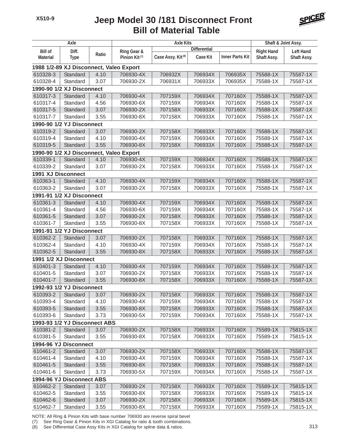### **Bill of Material Table Jeep Model 30 /181 Disconnect Front**



| Axle                                    |                                         |       | <b>Axle Kits</b>          |                               |                     |                        | Shaft & Joint Assy. |                    |  |
|-----------------------------------------|-----------------------------------------|-------|---------------------------|-------------------------------|---------------------|------------------------|---------------------|--------------------|--|
| <b>Bill of</b>                          | Diff.                                   |       | Ring Gear &               |                               | <b>Differential</b> |                        | <b>Right Hand</b>   | <b>Left Hand</b>   |  |
| <b>Material</b>                         | <b>Type</b>                             | Ratio | Pinion Kit <sup>(7)</sup> | Case Assy. Kit <sup>(8)</sup> | <b>Case Kit</b>     | <b>Inner Parts Kit</b> | Shaft Assy.         | <b>Shaft Assy.</b> |  |
| 1988 1/2-89 XJ Disconnect, Valeo Export |                                         |       |                           |                               |                     |                        |                     |                    |  |
| 610328-3                                | Standard                                | 4.10  | 706930-4X                 | 706932X                       | 706934X             | 706935X                | 75588-1X            | 75587-1X           |  |
| 610328-4                                | Standard                                | 3.07  | 706930-2X                 | 706931X                       | 706933X             | 706935X                | 75588-1X            | 75587-1X           |  |
| 1990-90 1/2 XJ Disconnect               |                                         |       |                           |                               |                     |                        |                     |                    |  |
| 610317-3                                | Standard                                | 4.10  | 706930-4X                 | 707159X                       | 706934X             | 707160X                | 75588-1X            | 75587-1X           |  |
| 610317-4                                | Standard                                | 4.56  | 706930-6X                 | 707159X                       | 706934X             | 707160X                | 75588-1X            | 75587-1X           |  |
| 610317-5                                | Standard                                | 3.07  | 706930-2X                 | 707158X                       | 706933X             | 707160X                | 75588-1X            | 75587-1X           |  |
| 610317-7                                | Standard                                | 3.55  | 706930-8X                 | 707158X                       | 706933X             | 707160X                | 75588-1X            | 75587-1X           |  |
|                                         | 1990-90 1/2 YJ Disconnect               |       |                           |                               |                     |                        |                     |                    |  |
| 610319-2                                | Standard                                | 3.07  | 706930-2X                 | 707158X                       | 706933X             | 707160X                | 75588-1X            | 75587-1X           |  |
| 610319-4                                | Standard                                | 4.10  | 706930-4X                 | 707159X                       | 706934X             | 707160X                | 75588-1X            | 75587-1X           |  |
| 610319-5                                | Standard                                | 3.55  | 706930-8X                 | 707158X                       | 706933X             | 707160X                | 75588-1X            | 75587-1X           |  |
|                                         | 1990-90 1/2 XJ Disconnect, Valeo Export |       |                           |                               |                     |                        |                     |                    |  |
| 610339-1                                | Standard                                | 4.10  | 706930-4X                 | 707159X                       | 706934X             | 707160X                | 75588-1X            | 75587-1X           |  |
| 610339-2                                | Standard                                | 3.07  | 706930-2X                 | 707158X                       | 706933X             | 707160X                | 75588-1X            | 75587-1X           |  |
| <b>1991 XJ Disconnect</b>               |                                         |       |                           |                               |                     |                        |                     |                    |  |
| 610363-1                                | Standard                                | 4.10  | 706930-4X                 | 707159X                       | 706934X             | 707160X                | 75588-1X            | 75587-1X           |  |
| 610363-2                                | Standard                                | 3.07  | 706930-2X                 | 707158X                       | 706933X             | 707160X                | 75588-1X            | 75587-1X           |  |
|                                         | 1991-91 1/2 XJ Disconnect               |       |                           |                               |                     |                        |                     |                    |  |
| 610361-3                                | Standard                                | 4.10  | 706930-4X                 | 707159X                       | 706934X             | 707160X                | 75588-1X            | 75587-1X           |  |
| 610361-4                                | Standard                                | 4.56  | 706930-6X                 | 707159X                       | 706934X             | 707160X                | 75588-1X            | 75587-1X           |  |
| 610361-5                                | Standard                                | 3.07  | 706930-2X                 | 707158X                       | 706933X             | 707160X                | 75588-1X            | 75587-1X           |  |
| 610361-7                                | Standard                                | 3.55  | 706930-8X                 | 707158X                       | 706933X             | 707160X                | 75588-1X            | 75587-1X           |  |
|                                         | 1991-91 1/2 YJ Disconnect               |       |                           |                               |                     |                        |                     |                    |  |
| 610362-2                                | Standard                                | 3.07  | 706930-2X                 | 707158X                       | 706933X             | 707160X                | 75588-1X            | 75587-1X           |  |
| 610362-4                                | Standard                                | 4.10  | 706930-4X                 | 707159X                       | 706934X             | 707160X                | 75588-1X            | 75587-1X           |  |
| 610362-5                                | Standard                                | 3.55  | 706930-8X                 | 707158X                       | 706933X             | 707160X                | 75588-1X            | 75587-1X           |  |
|                                         | 1991 1/2 XJ Disconnect                  |       |                           |                               |                     |                        |                     |                    |  |
| 610401-3                                | Standard                                | 4.10  | 706930-4X                 | 707159X                       | 706934X             | 707160X                | 75588-1X            | 75587-1X           |  |
| 610401-5                                | Standard                                | 3.07  | 706930-2X                 | 707158X                       | 706933X             | 707160X                | 75588-1X            | 75587-1X           |  |
| 610401-7                                | Standard                                | 3.55  | 706930-8X                 | 707158X                       | 706933X             | 707160X                | 75588-1X            | 75587-1X           |  |
|                                         | 1992-93 1/2 YJ Disconnect               |       |                           |                               |                     |                        |                     |                    |  |
| 610393-2                                | Standard                                | 3.07  | 706930-2X                 | 707158X                       | 706933X             | 707160X                | 75588-1X            | 75587-1X           |  |
| 610393-4                                | Standard                                | 4.10  | 706930-4X                 | 707159X                       | 706934X             | 707160X                | 75588-1X            | 75587-1X           |  |
| 610393-5                                | Standard                                | 3.55  | 706930-8X                 | 707158X                       | 706933X             | 707160X                | 75588-1X            | 75587-1X           |  |
| 610393-6                                | Standard                                | 3.73  | 706930-5X                 | 707159X                       | 706934X             | 707160X                | 75588-1X            | 75587-1X           |  |
|                                         | 1993-93 1/2 YJ Disconnect ABS           |       |                           |                               |                     |                        |                     |                    |  |
| 610381-2                                | Standard                                | 3.07  | 706930-2X                 | 707158X                       | 706933X             | 707160X                | 75589-1X            | 75815-1X           |  |
| 610381-5                                | Standard                                | 3.55  | 706930-8X                 | 707158X                       | 706933X             | 707160X                | 75589-1X            | 75815-1X           |  |
| 1994-96 YJ Disconnect                   |                                         |       |                           |                               |                     |                        |                     |                    |  |
| 610461-2                                | Standard                                | 3.07  | 706930-2X                 | 707158X                       | 706933X             | 707160X                | 75588-1X            | 75587-1X           |  |
| 610461-4                                | Standard                                | 4.10  | 706930-4X                 | 707159X                       | 706934X             | 707160X                | 75588-1X            | 75587-1X           |  |
| 610461-5                                | Standard                                | 3.55  | 706930-8X                 | 707158X                       | 706933X             | 707160X                | 75588-1X            | 75587-1X           |  |
| 610461-6                                | Standard                                | 3.73  | 706930-5X                 | 707159X                       | 706934X             | 707160X                | 75588-1X            | 75587-1X           |  |
|                                         | 1994-96 YJ Disconnect ABS               |       |                           |                               |                     |                        |                     |                    |  |
| 610462-2                                | Standard                                | 3.07  | 706930-2X                 | 707158X                       | 706933X             | 707160X                | 75589-1X            | 75815-1X           |  |
| 610462-5                                | Standard                                | 3.55  | 706930-8X                 | 707158X                       | 706933X             | 707160X                | 75589-1X            | 75815-1X           |  |
| 610462-6                                | Standard                                | 3.07  | 706930-2X                 | 707158X                       | 706933X             | 707160X                | 75589-1X            | 75815-1X           |  |
| 610462-7                                | Standard                                | 3.55  | 706930-8X                 | 707158X                       | 706933X             | 707160X                | 75589-1X            | 75815-1X           |  |

NOTE: All Ring & Pinion Kits with base number 706930 are reverse spiral bevel

(7) See Ring Gear & Pinion Kits in XGI Catalog for ratio & tooth combinations.

(8) See Differential Case Assy Kits in XGI Catalog for spline data & ratios. 313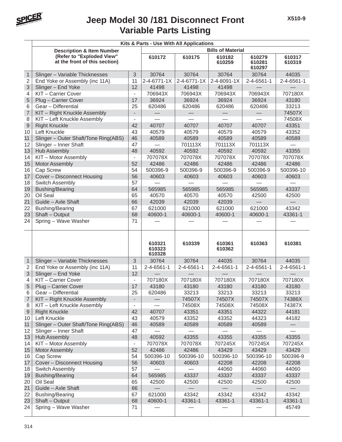

#### **Variable Parts Listing Jeep Model 30 /181 Disconnect Front**

|                | Kits & Parts - Use With All Applications                   |                          |                            |             |                  |                            |                    |  |  |  |
|----------------|------------------------------------------------------------|--------------------------|----------------------------|-------------|------------------|----------------------------|--------------------|--|--|--|
|                | <b>Description &amp; Item Number</b>                       | <b>Bills of Material</b> |                            |             |                  |                            |                    |  |  |  |
|                | (Refer to "Exploded View"<br>at the front of this section) |                          | 610172                     | 610175      | 610182<br>610259 | 610279<br>610281<br>610297 | 610317<br>610319   |  |  |  |
| $\mathbf{1}$   | Slinger - Variable Thicknesses                             | 3                        | 30764                      | 30764       | 30764            | 30764                      | 44035              |  |  |  |
| $\overline{2}$ | End Yoke or Assembly (inc 11A)                             | 11                       | 2-4-6771-1X                | 2-4-6771-1X | 2-4-8091-1X      | 2-4-6561-1                 | $2 - 4 - 6561 - 1$ |  |  |  |
| 3              | Slinger - End Yoke                                         | 12                       | 41498                      | 41498       | 41498            |                            |                    |  |  |  |
| 4              | KIT - Carrier Cover                                        | $\blacksquare$           | 706943X                    | 706943X     | 706943X          | 706943X                    | 707180X            |  |  |  |
| 5              | Plug - Carrier Cover                                       | 17                       | 36924                      | 36924       | 36924            | 36924                      | 43180              |  |  |  |
| 6              | Gear - Differential                                        | 25                       | 620486                     | 620486      | 620486           | 620486                     | 33213              |  |  |  |
| $\overline{7}$ | KIT - Right Knuckle Assembly                               | $\overline{\phantom{a}}$ |                            |             |                  |                            | 74507X             |  |  |  |
| 8              | KIT - Left Knuckle Assembly                                | $\blacksquare$           |                            |             |                  |                            | 74508X             |  |  |  |
| 9              | <b>Right Knuckle</b>                                       | 42                       | 40707                      | 40707       | 40707            | 40707                      | 43351              |  |  |  |
| 10             | Left Knuckle                                               | 43                       | 40579                      | 40579       | 40579            | 40579                      | 43352              |  |  |  |
| 11             | Slinger - Outer Shaft/Tone Ring(ABS)                       | 46                       | 40589                      | 40589       | 40589            | 40589                      | 40589              |  |  |  |
| 12             | Slinger - Inner Shaft                                      | 47                       |                            | 701113X     | 701113X          | 701113X                    |                    |  |  |  |
| 13             | <b>Hub Assembly</b>                                        | 48                       | 40592                      | 40592       | 40592            | 40592                      | 43355              |  |  |  |
| 14             | KIT - Motor Assembly                                       | $\overline{\phantom{a}}$ | 707078X                    | 707078X     | 707078X          | 707078X                    | 707078X            |  |  |  |
| 15             | <b>Motor Assembly</b>                                      | 52                       | 42486                      | 42486       | 42486            | 42486                      | 42486              |  |  |  |
| 16             | Cap Screw                                                  | 54                       | 500396-9                   | 500396-9    | 500396-9         | 500396-9                   | 500396-10          |  |  |  |
| 17             | Cover - Disconnect Housing                                 | 56                       | 40603                      | 40603       | 40603            | 40603                      | 40603              |  |  |  |
| 18             | Switch Assembly                                            | 57                       |                            |             |                  |                            |                    |  |  |  |
| 19             | <b>Bushing/Bearing</b>                                     | 64                       | 565985                     | 565985      | 565985           | 565985                     | 43337              |  |  |  |
| 20             | Oil Seal                                                   | 65                       | 40570                      | 40570       | 40570            | 42500                      | 42500              |  |  |  |
| 21             | Guide - Axle Shaft                                         | 66                       | 42039                      | 42039       | 42039            |                            |                    |  |  |  |
| 22             | <b>Bushing/Bearing</b>                                     | 67                       | 621000                     | 621000      | 621000           | 621000                     | 43342              |  |  |  |
| 23             | Shaft - Output                                             | 68                       | 40600-1                    | 40600-1     | 40600-1          | 40600-1                    | 43361-1            |  |  |  |
| 24             | Spring - Wave Washer                                       | 71                       |                            |             |                  |                            |                    |  |  |  |
|                |                                                            |                          | 610321<br>610323<br>610328 | 610339      | 610361<br>610362 | 610363                     | 610381             |  |  |  |
| $\mathbf{1}$   | Slinger - Variable Thicknesses                             | 3                        | 30764                      | 30764       | 44035            | 30764                      | 44035              |  |  |  |
| 2              | End Yoke or Assembly (inc 11A)                             | 11                       | 2-4-6561-1                 | 2-4-6561-1  | 2-4-6561-1       | 2-4-6561-1                 | 2-4-6561-1         |  |  |  |
| 3              | Slinger - End Yoke                                         | 12                       |                            |             |                  |                            |                    |  |  |  |
| 4              | KIT - Carrier Cover                                        | $\blacksquare$           | 707180X                    | 707180X     | 707180X          | 707180X                    | 707180X            |  |  |  |
| 5              | Plug - Carrier Cover                                       | 17                       | 43180                      | 43180       | 43180            | 43180                      | 43180              |  |  |  |
| 6              | Gear - Differential                                        | 25                       | 620486                     | 33213       | 33213            | 33213                      | 33213              |  |  |  |
| $\overline{7}$ | KIT - Right Knuckle Assembly                               | $\overline{\phantom{a}}$ |                            | 74507X      | 74507X           | 74507X                     | 74386X             |  |  |  |
| 8              | KIT - Left Knuckle Assembly                                | $\overline{\phantom{a}}$ |                            | 74508X      | 74508X           | 74508X                     | 74387X             |  |  |  |
| 9              | <b>Right Knuckle</b>                                       | 42                       | 40707                      | 43351       | 43351            | 44322                      | 44181              |  |  |  |
| 10             | Left Knuckle                                               | 43                       | 40579                      | 43352       | 43352            | 44323                      | 44182              |  |  |  |
| 11             | Slinger - Outer Shaft/Tone Ring(ABS)                       | 46                       | 40589                      | 40589       | 40589            | 40589                      |                    |  |  |  |
| 12             | Slinger - Inner Shaft                                      | 47                       |                            |             |                  |                            |                    |  |  |  |
| 13             | <b>Hub Assembly</b>                                        | 48                       | 40592                      | 43355       | 43355            | 43355                      | 43355              |  |  |  |
| 14             | KIT - Motor Assembly                                       | $\overline{\phantom{a}}$ | 707078X                    | 707078X     | 707245X          | 707245X                    | 707245X            |  |  |  |
| 15             | Motor Assembly                                             | 52                       | 42486                      | 42486       | 43429            | 43429                      | 43429              |  |  |  |
| 16             | Cap Screw                                                  | 54                       | 500396-10                  | 500396-10   | 500396-10        | 500396-10                  | 500396-9           |  |  |  |
| 17             | Cover - Disconnect Housing                                 | 56                       | 40603                      | 40603       | 42208            | 42208                      | 42208              |  |  |  |
| 18             | Switch Assembly                                            | 57                       |                            |             | 44060            | 44060                      | 44060              |  |  |  |
| 19             | <b>Bushing/Bearing</b>                                     | 64                       | 565985                     | 43337       | 43337            | 43337                      | 43337              |  |  |  |
| 20             | Oil Seal                                                   | 65                       | 42500                      | 42500       | 42500            | 42500                      | 42500              |  |  |  |
| 21             | Guide - Axle Shaft                                         | 66                       |                            |             |                  |                            |                    |  |  |  |
| 22             | <b>Bushing/Bearing</b>                                     | 67                       | 621000                     | 43342       | 43342            | 43342                      | 43342              |  |  |  |
| 23             | Shaft - Output                                             | 68                       | 40600-1                    | 43361-1     | 43361-1          | 43361-1                    | 43361-1            |  |  |  |
| 24             | Spring - Wave Washer                                       | 71                       |                            |             |                  |                            | 45749              |  |  |  |